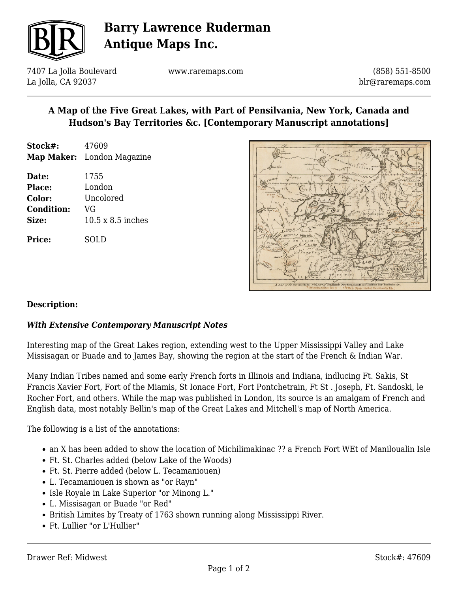

## **Barry Lawrence Ruderman Antique Maps Inc.**

7407 La Jolla Boulevard La Jolla, CA 92037

www.raremaps.com

(858) 551-8500 blr@raremaps.com

### **A Map of the Five Great Lakes, with Part of Pensilvania, New York, Canada and Hudson's Bay Territories &c. [Contemporary Manuscript annotations]**

| Stock#: | 47609                             |
|---------|-----------------------------------|
|         | <b>Map Maker:</b> London Magazine |

| Date:             | 1755                     |
|-------------------|--------------------------|
| <b>Place:</b>     | London                   |
| Color:            | Uncolored                |
| <b>Condition:</b> | VG                       |
| Size:             | $10.5 \times 8.5$ inches |
| <b>Price:</b>     | SOLD                     |



#### **Description:**

#### *With Extensive Contemporary Manuscript Notes*

Interesting map of the Great Lakes region, extending west to the Upper Mississippi Valley and Lake Missisagan or Buade and to James Bay, showing the region at the start of the French & Indian War.

Many Indian Tribes named and some early French forts in Illinois and Indiana, indlucing Ft. Sakis, St Francis Xavier Fort, Fort of the Miamis, St Ionace Fort, Fort Pontchetrain, Ft St . Joseph, Ft. Sandoski, le Rocher Fort, and others. While the map was published in London, its source is an amalgam of French and English data, most notably Bellin's map of the Great Lakes and Mitchell's map of North America.

The following is a list of the annotations:

- an X has been added to show the location of Michilimakinac ?? a French Fort WEt of Maniloualin Isle
- Ft. St. Charles added (below Lake of the Woods)
- Ft. St. Pierre added (below L. Tecamaniouen)
- L. Tecamaniouen is shown as "or Rayn"
- Isle Royale in Lake Superior "or Minong L."
- L. Missisagan or Buade "or Red"
- British Limites by Treaty of 1763 shown running along Mississippi River.
- Ft. Lullier "or L'Hullier"